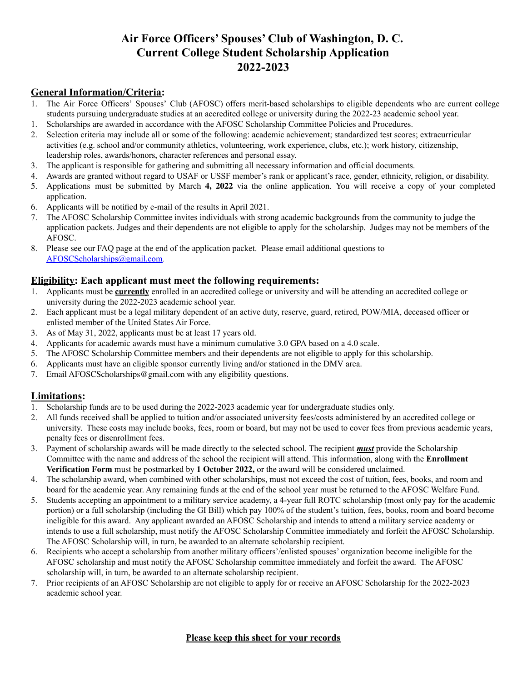# **Air Force Officers' Spouses' Club of Washington, D. C. Current College Student Scholarship Application 2022-2023**

# **General Information/Criteria:**

- 1. The Air Force Officers' Spouses' Club (AFOSC) offers merit-based scholarships to eligible dependents who are current college students pursuing undergraduate studies at an accredited college or university during the 2022-23 academic school year.
- 1. Scholarships are awarded in accordance with the AFOSC Scholarship Committee Policies and Procedures.
- 2. Selection criteria may include all or some of the following: academic achievement; standardized test scores; extracurricular activities (e.g. school and/or community athletics, volunteering, work experience, clubs, etc.); work history, citizenship, leadership roles, awards/honors, character references and personal essay.
- 3. The applicant is responsible for gathering and submitting all necessary information and official documents.
- 4. Awards are granted without regard to USAF or USSF member's rank or applicant's race, gender, ethnicity, religion, or disability.
- 5. Applications must be submitted by March **4, 2022** via the online application. You will receive a copy of your completed application.
- 6. Applicants will be notified by e-mail of the results in April 2021.
- 7. The AFOSC Scholarship Committee invites individuals with strong academic backgrounds from the community to judge the application packets. Judges and their dependents are not eligible to apply for the scholarship. Judges may not be members of the AFOSC.
- 8. Please see our FAQ page at the end of the application packet. Please email additional questions to [AFOSCScholarships@gmail.com](mailto:AFOSCScholarships@gmail.com).

## **Eligibility: Each applicant must meet the following requirements:**

- 1. Applicants must be **currently** enrolled in an accredited college or university and will be attending an accredited college or university during the 2022-2023 academic school year.
- 2. Each applicant must be a legal military dependent of an active duty, reserve, guard, retired, POW/MIA, deceased officer or enlisted member of the United States Air Force.
- 3. As of May 31, 2022, applicants must be at least 17 years old.
- 4. Applicants for academic awards must have a minimum cumulative 3.0 GPA based on a 4.0 scale.
- 5. The AFOSC Scholarship Committee members and their dependents are not eligible to apply for this scholarship.
- 6. Applicants must have an eligible sponsor currently living and/or stationed in the DMV area.
- 7. Email AFOSCScholarships@gmail.com with any eligibility questions.

## **Limitations:**

- 1. Scholarship funds are to be used during the 2022-2023 academic year for undergraduate studies only.
- 2. All funds received shall be applied to tuition and/or associated university fees/costs administered by an accredited college or university. These costs may include books, fees, room or board, but may not be used to cover fees from previous academic years, penalty fees or disenrollment fees.
- 3. Payment of scholarship awards will be made directly to the selected school. The recipient *must* provide the Scholarship Committee with the name and address of the school the recipient will attend. This information, along with the **Enrollment Verification Form** must be postmarked by **1 October 2022,** or the award will be considered unclaimed.
- 4. The scholarship award, when combined with other scholarships, must not exceed the cost of tuition, fees, books, and room and board for the academic year. Any remaining funds at the end of the school year must be returned to the AFOSC Welfare Fund.
- 5. Students accepting an appointment to a military service academy, a 4-year full ROTC scholarship (most only pay for the academic portion) or a full scholarship (including the GI Bill) which pay 100% of the student's tuition, fees, books, room and board become ineligible for this award. Any applicant awarded an AFOSC Scholarship and intends to attend a military service academy or intends to use a full scholarship, must notify the AFOSC Scholarship Committee immediately and forfeit the AFOSC Scholarship. The AFOSC Scholarship will, in turn, be awarded to an alternate scholarship recipient.
- 6. Recipients who accept a scholarship from another military officers'/enlisted spouses' organization become ineligible for the AFOSC scholarship and must notify the AFOSC Scholarship committee immediately and forfeit the award. The AFOSC scholarship will, in turn, be awarded to an alternate scholarship recipient.
- 7. Prior recipients of an AFOSC Scholarship are not eligible to apply for or receive an AFOSC Scholarship for the 2022-2023 academic school year.

#### **Please keep this sheet for your records**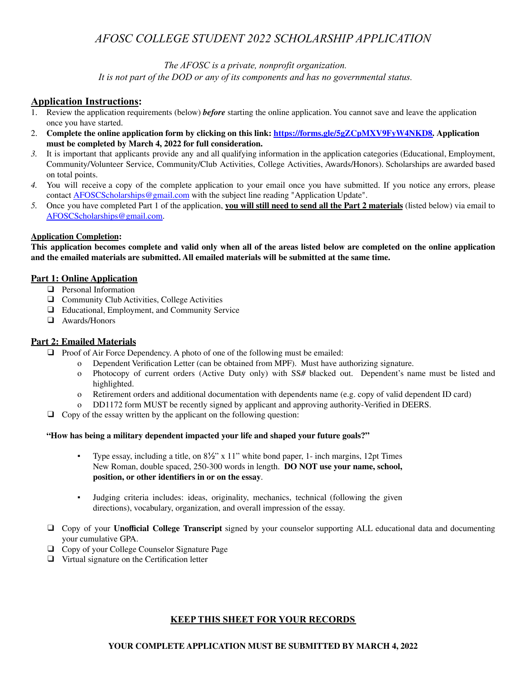# *AFOSC COLLEGE STUDENT 2022 SCHOLARSHIP APPLICATION*

*The AFOSC is a private, nonprofit organization.*

*It is not part of the DOD or any of its components and has no governmental status.*

## **Application Instructions:**

- 1. Review the application requirements (below) *before* starting the online application. You cannot save and leave the application once you have started.
- 2. **Complete the online application form by clicking on this link: [https://forms.gle/5gZCpMXV9FyW4NKD8.](https://forms.gle/5gZCpMXV9FyW4NKD8) Application must be completed by March 4, 2022 for full consideration.**
- *3.* It is important that applicants provide any and all qualifying information in the application categories (Educational, Employment, Community/Volunteer Service, Community/Club Activities, College Activities, Awards/Honors). Scholarships are awarded based on total points.
- *4.* You will receive a copy of the complete application to your email once you have submitted. If you notice any errors, please contact [AFOSCScholarships@gmail.com](mailto:AFOSCScholarships@gmail.com) with the subject line reading "Application Update".
- *5.* Once you have completed Part 1 of the application, **you will still need to send all the Part 2 materials** (listed below) via email to [AFOSCScholarships@gmail.com.](mailto:AFOSCScholarships@gmail.com)

#### **Application Completion:**

This application becomes complete and valid only when all of the areas listed below are completed on the online application **and the emailed materials are submitted. All emailed materials will be submitted at the same time.**

#### **Part 1: Online Application**

- ❑ Personal Information
- ❑ Community Club Activities, College Activities
- ❑ Educational, Employment, and Community Service
- ❑ Awards/Honors

#### **Part 2: Emailed Materials**

- □ Proof of Air Force Dependency. A photo of one of the following must be emailed:
	- o Dependent Verification Letter (can be obtained from MPF). Must have authorizing signature.
	- o Photocopy of current orders (Active Duty only) with SS# blacked out. Dependent's name must be listed and highlighted.
	- o Retirement orders and additional documentation with dependents name (e.g. copy of valid dependent ID card)
	- o DD1172 form MUST be recently signed by applicant and approving authority-Verified in DEERS.
- $\Box$  Copy of the essay written by the applicant on the following question:

#### **"How has being a military dependent impacted your life and shaped your future goals?"**

- Type essay, including a title, on 8½" x 11" white bond paper, 1- inch margins, 12pt Times New Roman, double spaced, 250-300 words in length. **DO NOT use your name, school, position, or other identifiers in or on the essay**.
- Judging criteria includes: ideas, originality, mechanics, technical (following the given directions), vocabulary, organization, and overall impression of the essay.
- ❑ Copy of your **Unofficial College Transcript** signed by your counselor supporting ALL educational data and documenting your cumulative GPA.
- ❑ Copy of your College Counselor Signature Page
- ❑ Virtual signature on the Certification letter

#### **KEEP THIS SHEET FOR YOUR RECORDS**

#### **YOUR COMPLETE APPLICATION MUST BE SUBMITTED BY MARCH 4, 2022**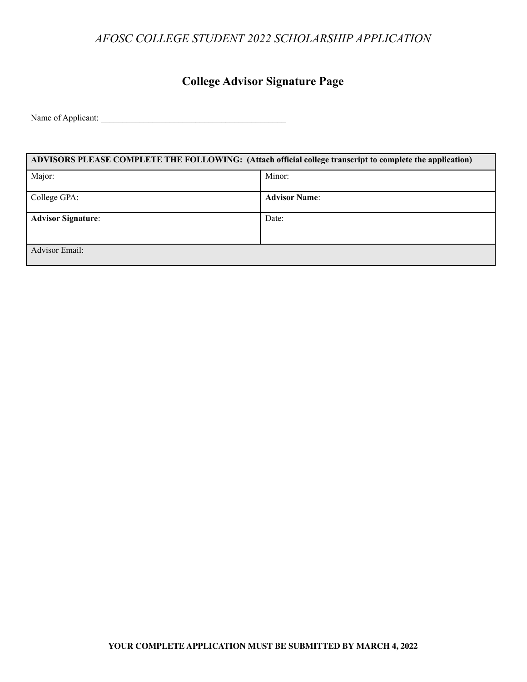# *AFOSC COLLEGE STUDENT 2022 SCHOLARSHIP APPLICATION*

# **College Advisor Signature Page**

Name of Applicant: \_\_\_\_\_\_\_\_\_\_\_\_\_\_\_\_\_\_\_\_\_\_\_\_\_\_\_\_\_\_\_\_\_\_\_\_\_\_\_\_\_\_\_

| ADVISORS PLEASE COMPLETE THE FOLLOWING: (Attach official college transcript to complete the application) |                      |  |
|----------------------------------------------------------------------------------------------------------|----------------------|--|
| Major:                                                                                                   | Minor:               |  |
| College GPA:                                                                                             | <b>Advisor Name:</b> |  |
| <b>Advisor Signature:</b>                                                                                | Date:                |  |
| <b>Advisor Email:</b>                                                                                    |                      |  |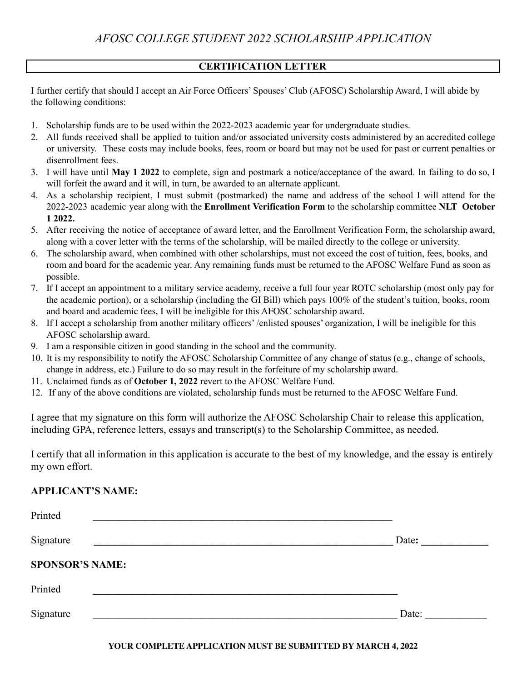# **CERTIFICATION LETTER**

I further certify that should I accept an Air Force Officers' Spouses' Club (AFOSC) Scholarship Award, I will abide by the following conditions:

- 1. Scholarship funds are to be used within the 2022-2023 academic year for undergraduate studies.
- 2. All funds received shall be applied to tuition and/or associated university costs administered by an accredited college or university. These costs may include books, fees, room or board but may not be used for past or current penalties or disenrollment fees.
- 3. I will have until **May 1 2022** to complete, sign and postmark a notice/acceptance of the award. In failing to do so, I will forfeit the award and it will, in turn, be awarded to an alternate applicant.
- 4. As a scholarship recipient, I must submit (postmarked) the name and address of the school I will attend for the 2022-2023 academic year along with the **Enrollment Verification Form** to the scholarship committee **NLT October 1 2022.**
- 5. After receiving the notice of acceptance of award letter, and the Enrollment Verification Form, the scholarship award, along with a cover letter with the terms of the scholarship, will be mailed directly to the college or university.
- 6. The scholarship award, when combined with other scholarships, must not exceed the cost of tuition, fees, books, and room and board for the academic year. Any remaining funds must be returned to the AFOSC Welfare Fund as soon as possible.
- 7. If I accept an appointment to a military service academy, receive a full four year ROTC scholarship (most only pay for the academic portion), or a scholarship (including the GI Bill) which pays 100% of the student's tuition, books, room and board and academic fees, I will be ineligible for this AFOSC scholarship award.
- 8. If I accept a scholarship from another military officers' /enlisted spouses' organization, I will be ineligible for this AFOSC scholarship award.
- 9. I am a responsible citizen in good standing in the school and the community.
- 10. It is my responsibility to notify the AFOSC Scholarship Committee of any change of status (e.g., change of schools, change in address, etc.) Failure to do so may result in the forfeiture of my scholarship award.
- 11. Unclaimed funds as of **October 1, 2022** revert to the AFOSC Welfare Fund.
- 12. If any of the above conditions are violated, scholarship funds must be returned to the AFOSC Welfare Fund.

I agree that my signature on this form will authorize the AFOSC Scholarship Chair to release this application, including GPA, reference letters, essays and transcript(s) to the Scholarship Committee, as needed.

I certify that all information in this application is accurate to the best of my knowledge, and the essay is entirely my own effort.

## **APPLICANT'S NAME:**

| Printed                |       |
|------------------------|-------|
| Signature              | Date: |
| <b>SPONSOR'S NAME:</b> |       |
| Printed                |       |
| Signature              | Date: |

#### **YOUR COMPLETE APPLICATION MUST BE SUBMITTED BY MARCH 4, 2022**